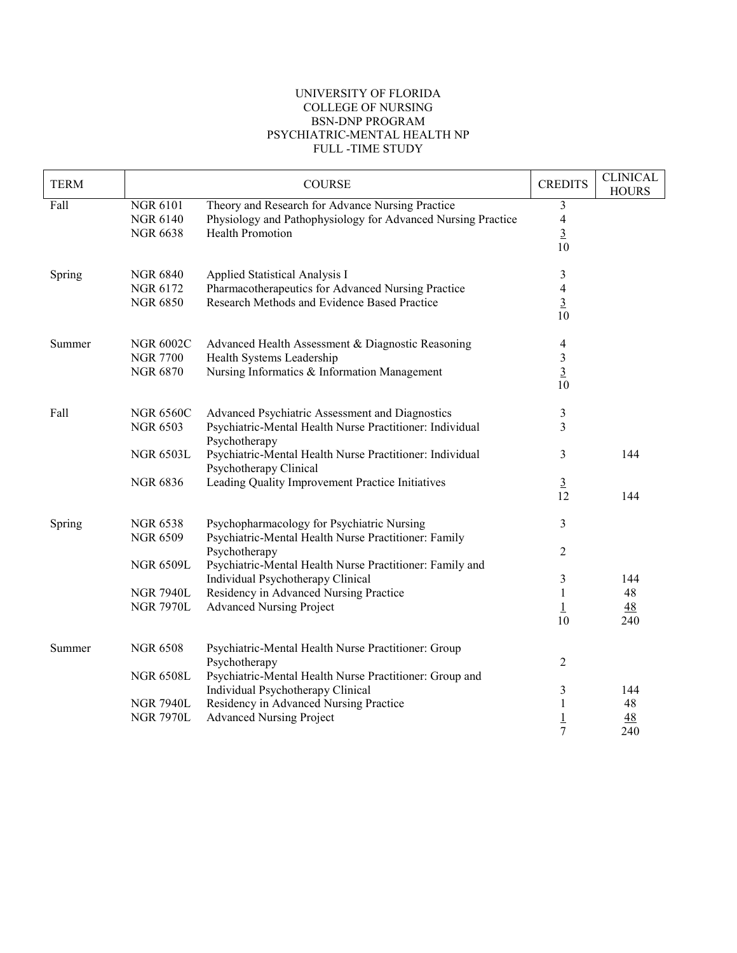## UNIVERSITY OF FLORIDA COLLEGE OF NURSING BSN-DNP PROGRAM PSYCHIATRIC-MENTAL HEALTH NP FULL -TIME STUDY

| <b>TERM</b> |                                    | <b>COURSE</b>                                                                                                    | <b>CREDITS</b>       | <b>CLINICAL</b><br><b>HOURS</b> |
|-------------|------------------------------------|------------------------------------------------------------------------------------------------------------------|----------------------|---------------------------------|
| Fall        | <b>NGR 6101</b><br><b>NGR 6140</b> | Theory and Research for Advance Nursing Practice<br>Physiology and Pathophysiology for Advanced Nursing Practice | 3<br>$\overline{4}$  |                                 |
|             | <b>NGR 6638</b>                    | Health Promotion                                                                                                 | $\overline{3}$<br>10 |                                 |
| Spring      | <b>NGR 6840</b>                    | Applied Statistical Analysis I                                                                                   | 3                    |                                 |
|             | NGR 6172                           | Pharmacotherapeutics for Advanced Nursing Practice                                                               | $\overline{4}$       |                                 |
|             | <b>NGR 6850</b>                    | Research Methods and Evidence Based Practice                                                                     | $\frac{3}{10}$       |                                 |
| Summer      | <b>NGR 6002C</b>                   | Advanced Health Assessment & Diagnostic Reasoning                                                                | 4                    |                                 |
|             | <b>NGR 7700</b>                    | Health Systems Leadership                                                                                        | $\mathfrak{Z}$       |                                 |
|             | <b>NGR 6870</b>                    | Nursing Informatics & Information Management                                                                     | $\overline{3}$<br>10 |                                 |
| Fall        | <b>NGR 6560C</b>                   | Advanced Psychiatric Assessment and Diagnostics                                                                  | 3                    |                                 |
|             | <b>NGR 6503</b>                    | Psychiatric-Mental Health Nurse Practitioner: Individual<br>Psychotherapy                                        | 3                    |                                 |
|             | <b>NGR 6503L</b>                   | Psychiatric-Mental Health Nurse Practitioner: Individual<br>Psychotherapy Clinical                               | 3                    | 144                             |
|             | <b>NGR 6836</b>                    | Leading Quality Improvement Practice Initiatives                                                                 | $\frac{3}{12}$       |                                 |
|             |                                    |                                                                                                                  |                      | 144                             |
| Spring      | <b>NGR 6538</b>                    | Psychopharmacology for Psychiatric Nursing                                                                       | 3                    |                                 |
|             | <b>NGR 6509</b>                    | Psychiatric-Mental Health Nurse Practitioner: Family                                                             |                      |                                 |
|             | <b>NGR 6509L</b>                   | Psychotherapy<br>Psychiatric-Mental Health Nurse Practitioner: Family and                                        | 2                    |                                 |
|             |                                    | Individual Psychotherapy Clinical                                                                                | 3                    | 144                             |
|             | <b>NGR 7940L</b>                   | Residency in Advanced Nursing Practice                                                                           | $\mathbf{1}$         | 48                              |
|             | <b>NGR 7970L</b>                   | <b>Advanced Nursing Project</b>                                                                                  | $\perp$              | 48                              |
|             |                                    |                                                                                                                  | 10                   | 240                             |
| Summer      | <b>NGR 6508</b>                    | Psychiatric-Mental Health Nurse Practitioner: Group<br>Psychotherapy                                             | $\overline{2}$       |                                 |
|             | <b>NGR 6508L</b>                   | Psychiatric-Mental Health Nurse Practitioner: Group and                                                          |                      |                                 |
|             |                                    | Individual Psychotherapy Clinical                                                                                | 3                    | 144                             |
|             | <b>NGR 7940L</b>                   | Residency in Advanced Nursing Practice                                                                           | 1                    | 48                              |
|             | <b>NGR 7970L</b>                   | <b>Advanced Nursing Project</b>                                                                                  | $\overline{1}$       | <u>48</u>                       |
|             |                                    |                                                                                                                  | $\overline{7}$       | 240                             |